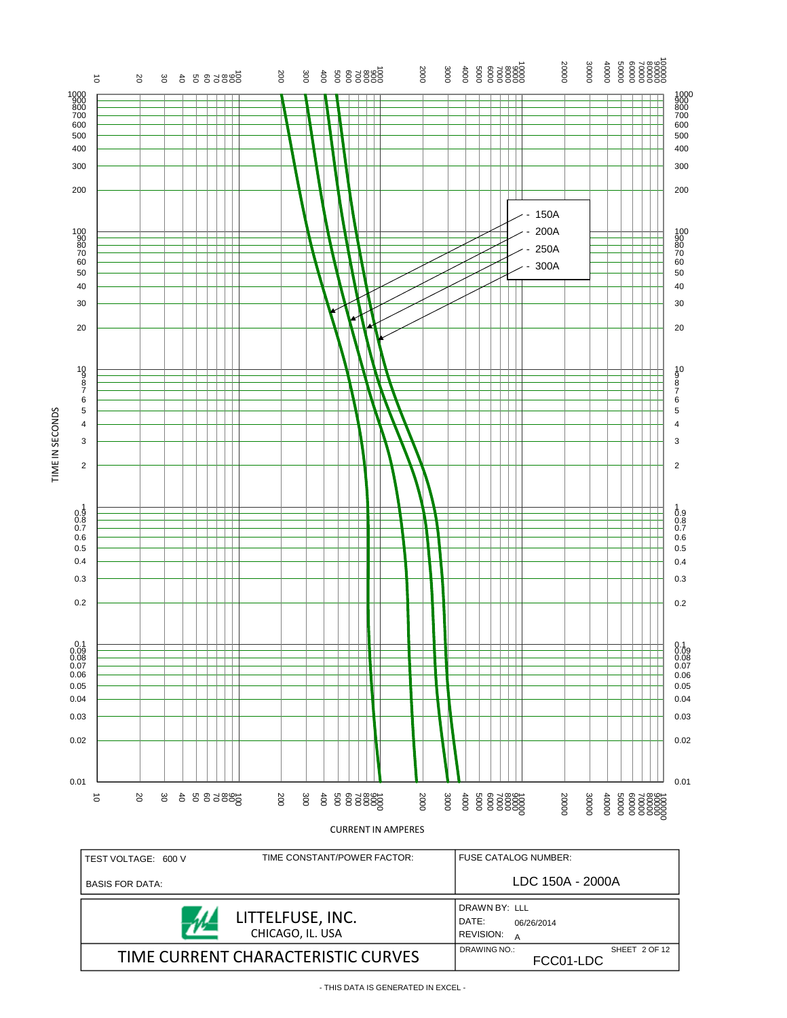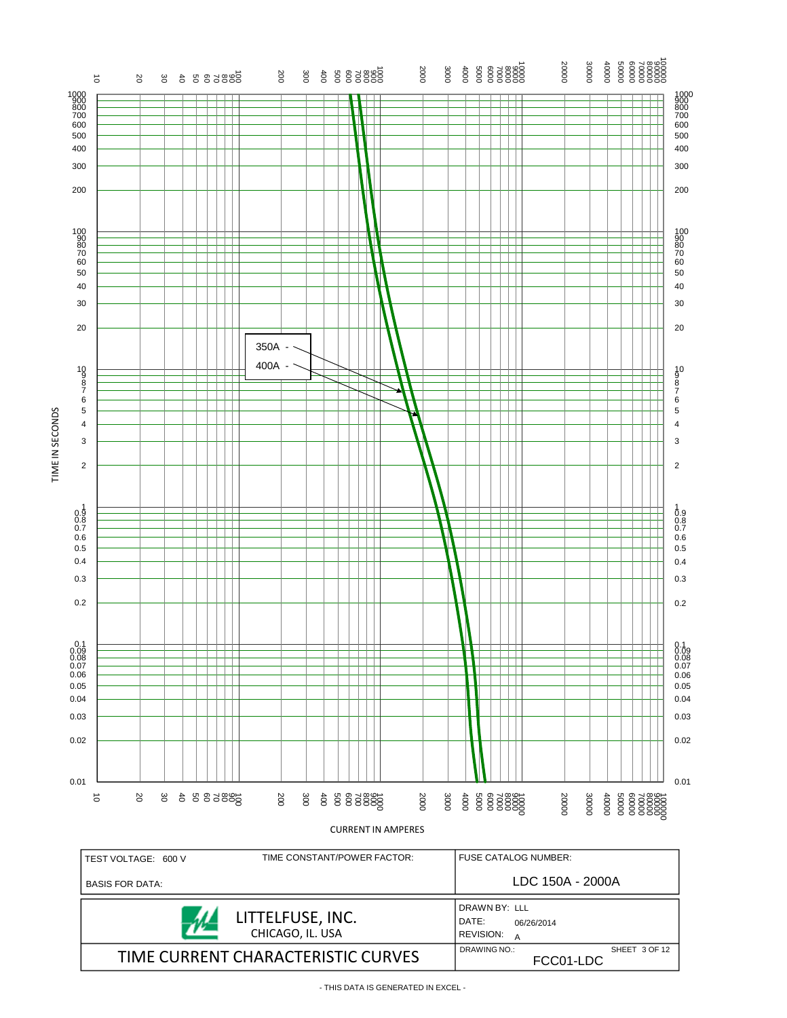

- THIS DATA IS GENERATED IN EXCEL -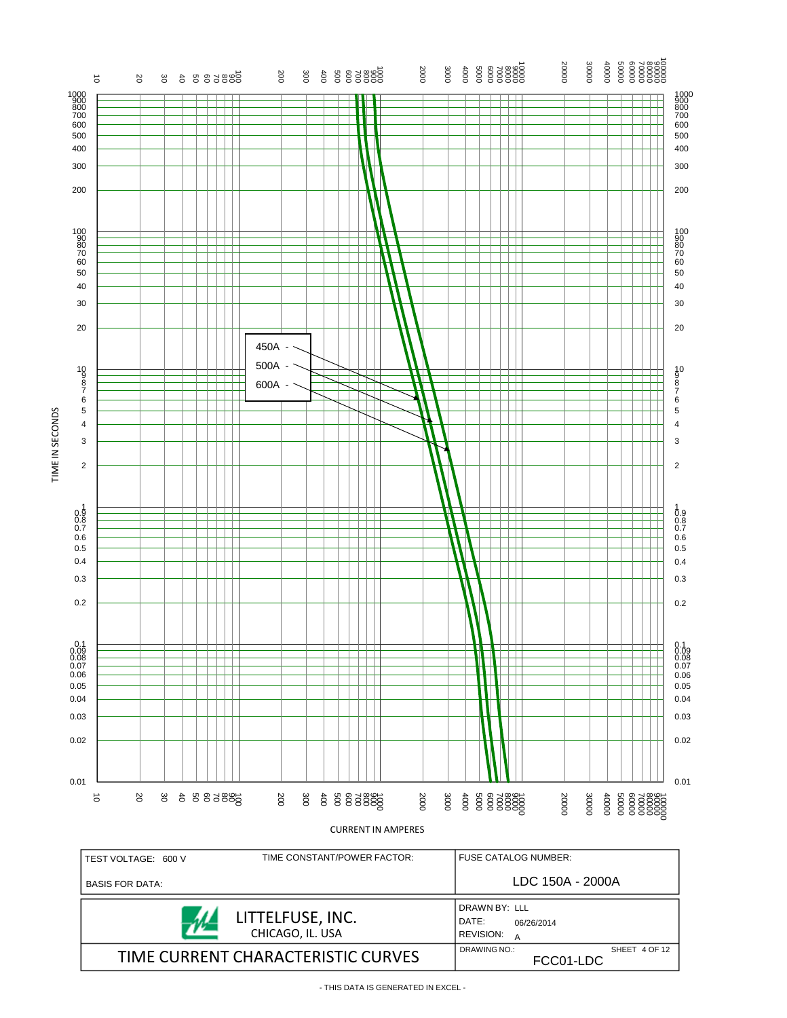

<sup>-</sup> THIS DATA IS GENERATED IN EXCEL -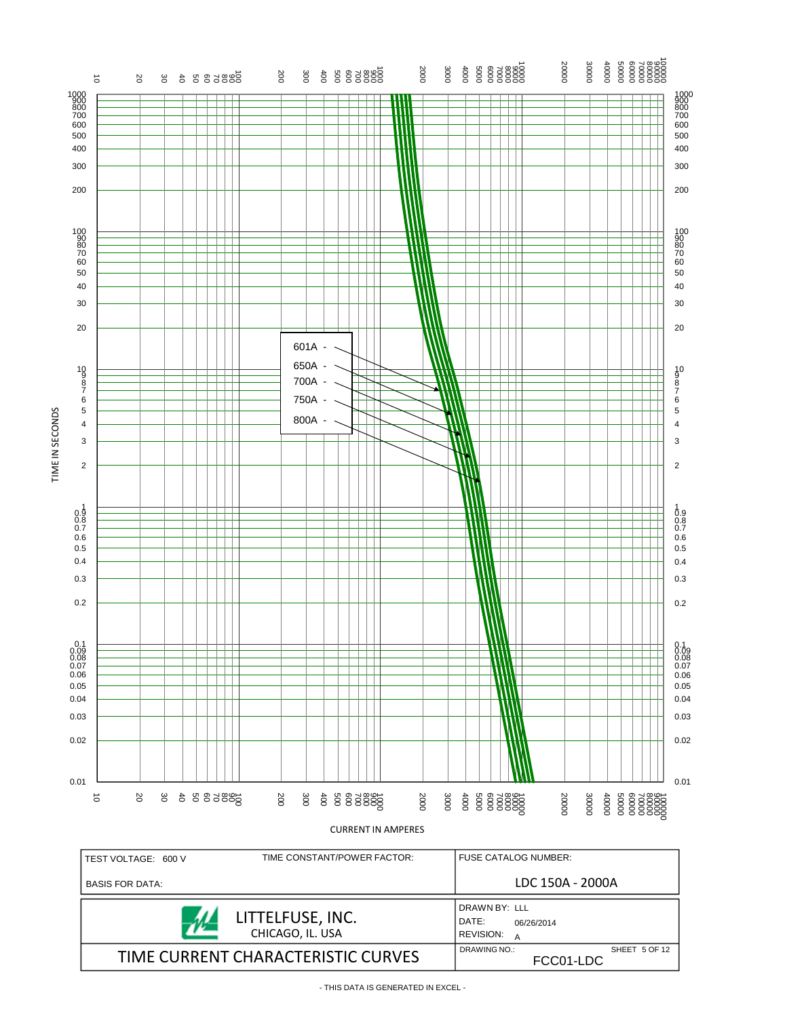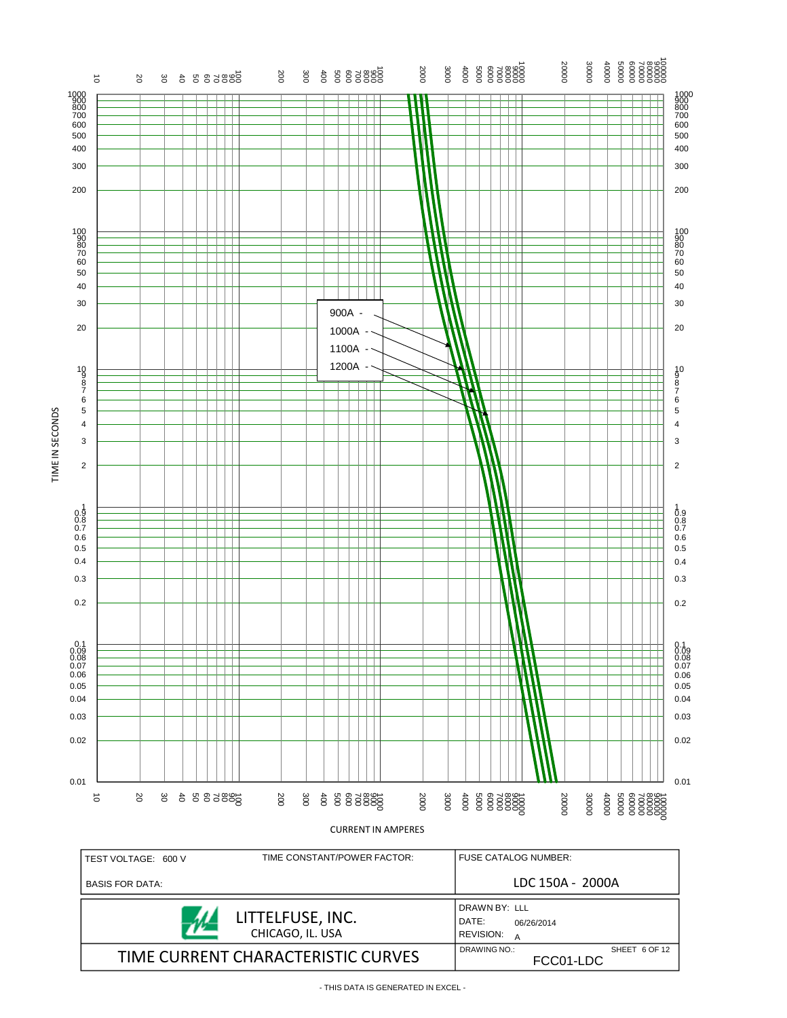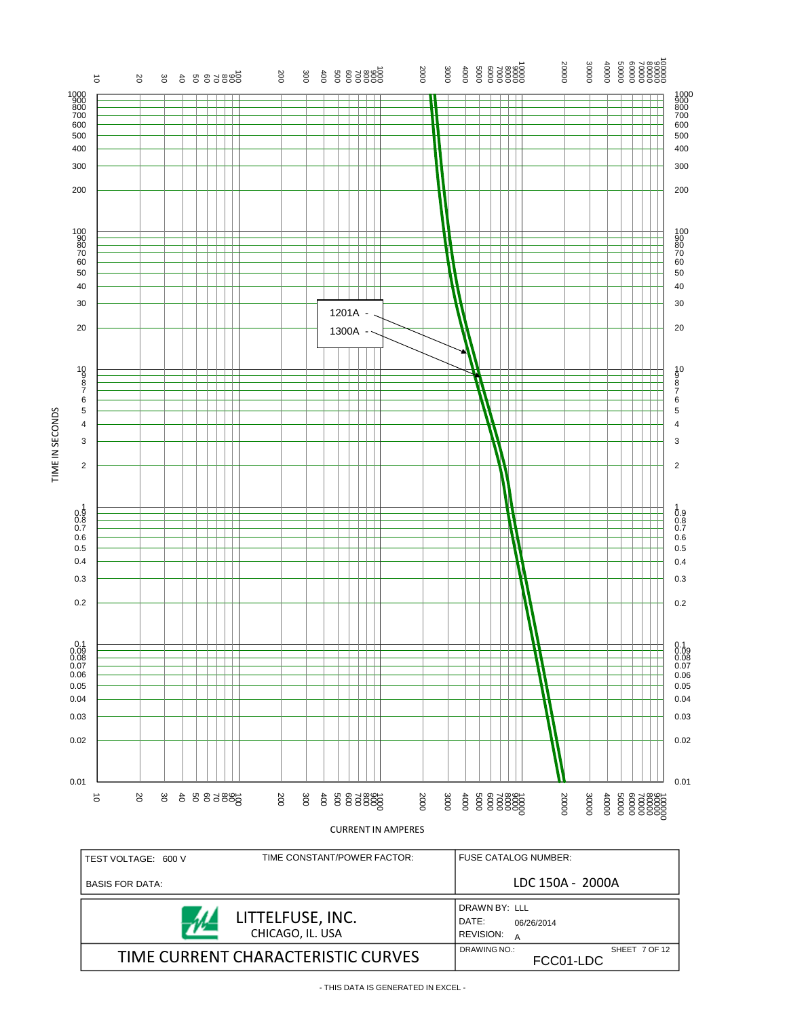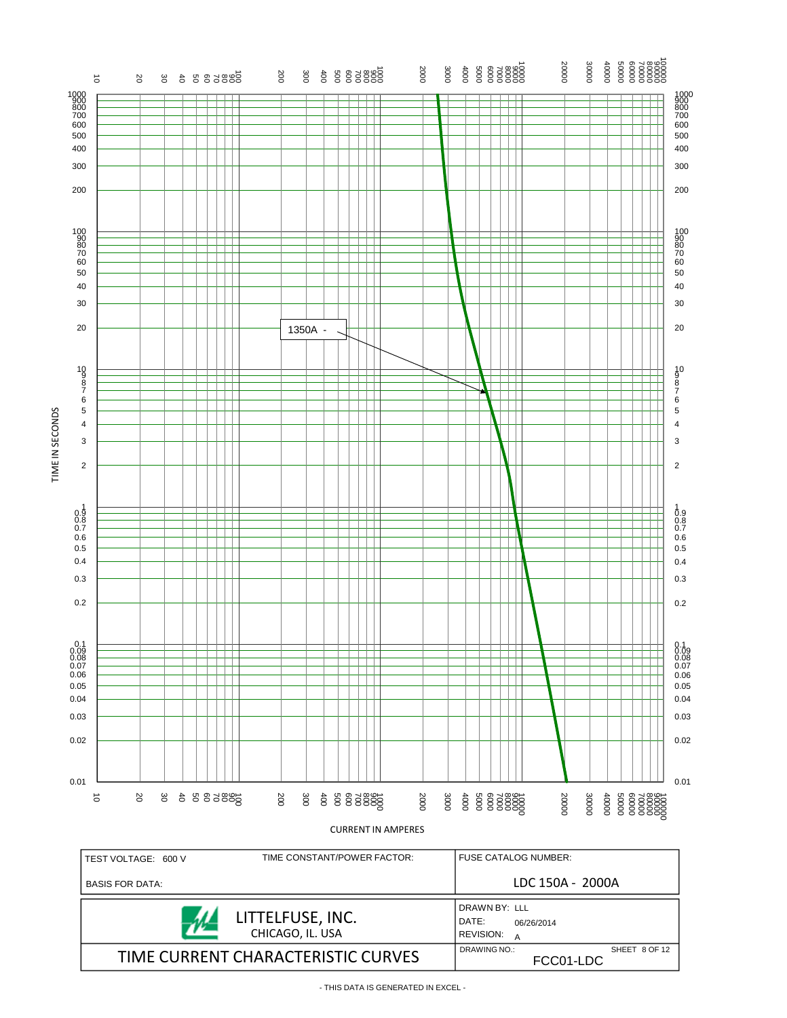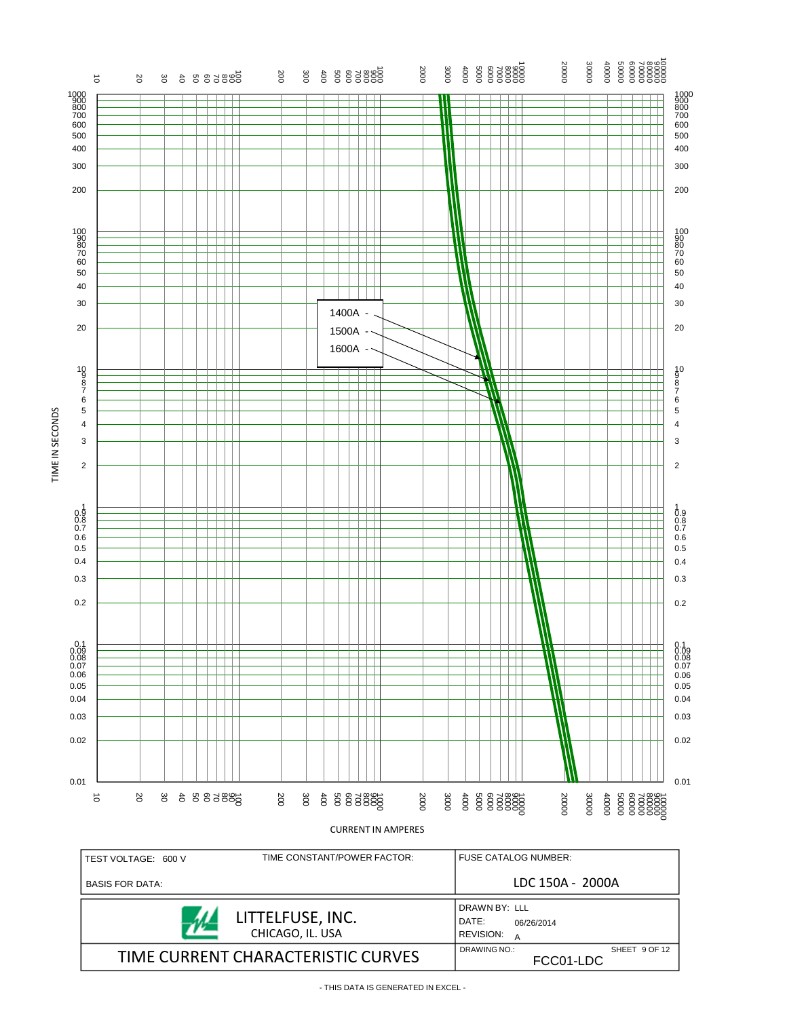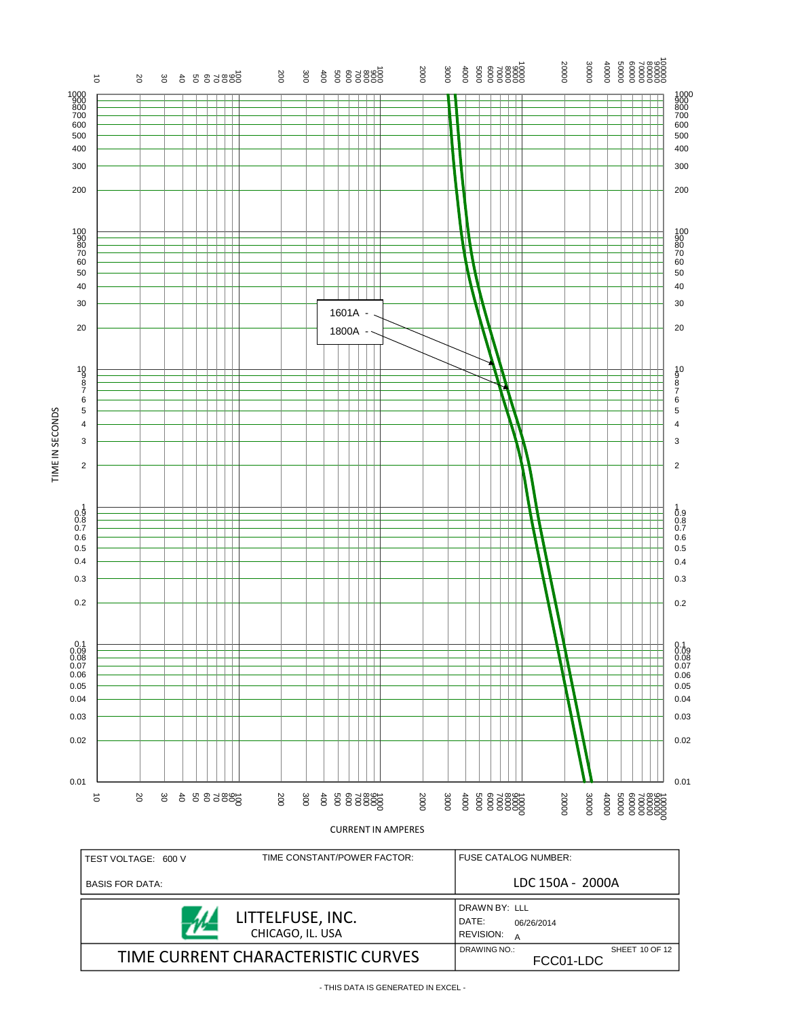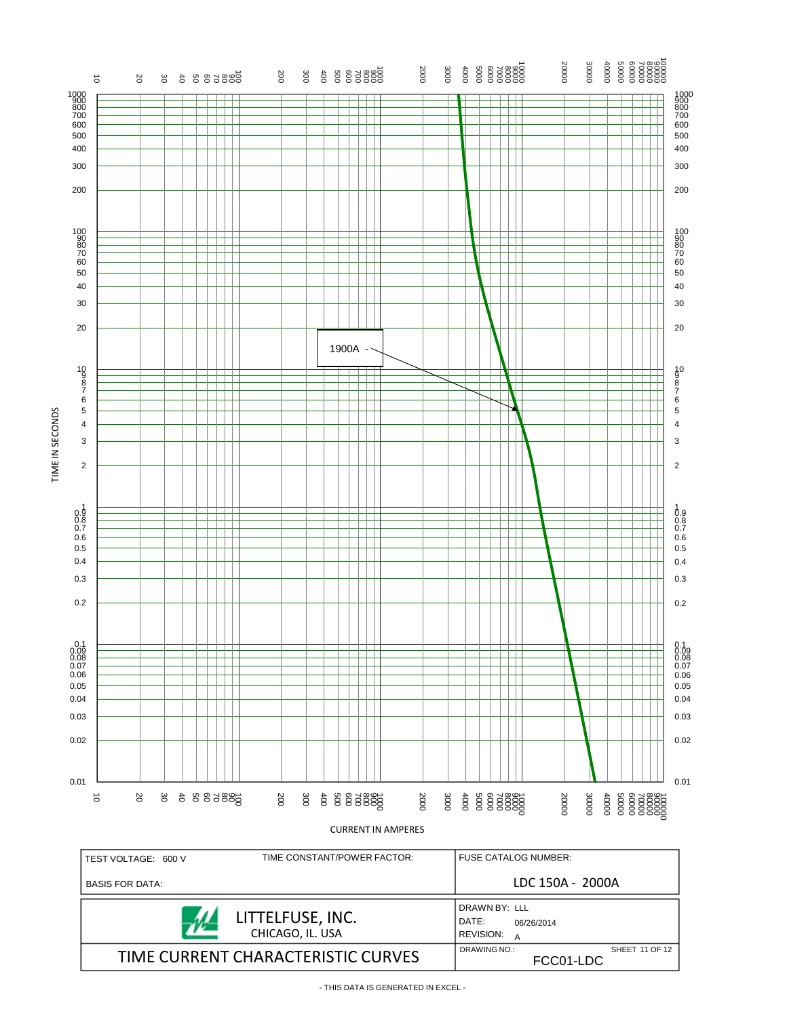